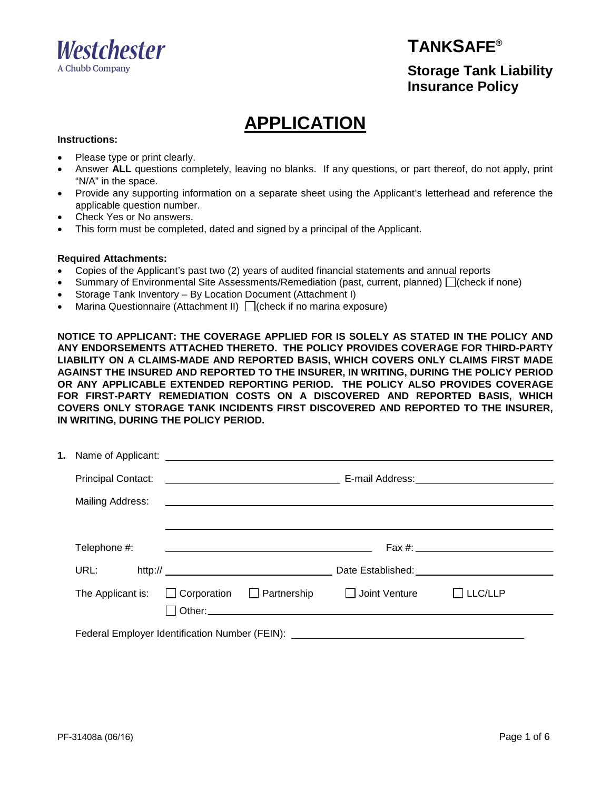

#### **TANKSAFE®**

**Storage Tank Liability Insurance Policy**

# **APPLICATION**

#### **Instructions:**

- Please type or print clearly.
- Answer **ALL** questions completely, leaving no blanks. If any questions, or part thereof, do not apply, print "N/A" in the space.
- Provide any supporting information on a separate sheet using the Applicant's letterhead and reference the applicable question number.
- Check Yes or No answers.
- This form must be completed, dated and signed by a principal of the Applicant.

#### **Required Attachments:**

- Copies of the Applicant's past two (2) years of audited financial statements and annual reports
- Summary of Environmental Site Assessments/Remediation (past, current, planned)  $\Box$  (check if none)
- Storage Tank Inventory By Location Document (Attachment I)
- Marina Questionnaire (Attachment II)  $\Box$  (check if no marina exposure)

**NOTICE TO APPLICANT: THE COVERAGE APPLIED FOR IS SOLELY AS STATED IN THE POLICY AND ANY ENDORSEMENTS ATTACHED THERETO. THE POLICY PROVIDES COVERAGE FOR THIRD-PARTY LIABILITY ON A CLAIMS-MADE AND REPORTED BASIS, WHICH COVERS ONLY CLAIMS FIRST MADE AGAINST THE INSURED AND REPORTED TO THE INSURER, IN WRITING, DURING THE POLICY PERIOD OR ANY APPLICABLE EXTENDED REPORTING PERIOD. THE POLICY ALSO PROVIDES COVERAGE FOR FIRST-PARTY REMEDIATION COSTS ON A DISCOVERED AND REPORTED BASIS, WHICH COVERS ONLY STORAGE TANK INCIDENTS FIRST DISCOVERED AND REPORTED TO THE INSURER, IN WRITING, DURING THE POLICY PERIOD.** 

| Telephone #:                                                                     |  | <u> 1989 - Johann Stein, mars an deutscher Stein und der Stein und der Stein und der Stein und der Stein und der</u> |                                             |                |  |
|----------------------------------------------------------------------------------|--|----------------------------------------------------------------------------------------------------------------------|---------------------------------------------|----------------|--|
| URL: URL                                                                         |  |                                                                                                                      |                                             |                |  |
| The Applicant is:                                                                |  |                                                                                                                      | □ Corporation □ Partnership □ Joint Venture | $\Box$ LLC/LLP |  |
| Federal Employer Identification Number (FEIN): _________________________________ |  |                                                                                                                      |                                             |                |  |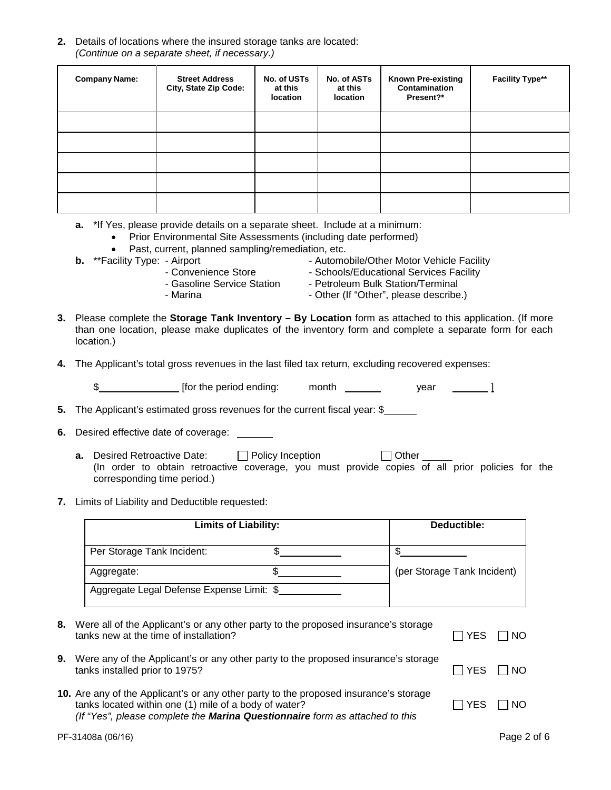**2.** Details of locations where the insured storage tanks are located: *(Continue on a separate sheet, if necessary.)*

| <b>Company Name:</b> | <b>Street Address</b><br>City, State Zip Code: | No. of USTs<br>at this<br>location | No. of ASTs<br>at this<br>location | <b>Known Pre-existing</b><br><b>Contamination</b><br>Present?* | <b>Facility Type**</b> |
|----------------------|------------------------------------------------|------------------------------------|------------------------------------|----------------------------------------------------------------|------------------------|
|                      |                                                |                                    |                                    |                                                                |                        |
|                      |                                                |                                    |                                    |                                                                |                        |
|                      |                                                |                                    |                                    |                                                                |                        |
|                      |                                                |                                    |                                    |                                                                |                        |
|                      |                                                |                                    |                                    |                                                                |                        |

- **a.** \*If Yes, please provide details on a separate sheet. Include at a minimum:
	- Prior Environmental Site Assessments (including date performed)
- Past, current, planned sampling/remediation, etc.<br>**b.** \*\*Facility Type: Airport **b.** \*\*Facility Type: Airport
- -
	- **b.** \*\*Facility Type: Airport Automobile/Other Motor Vehicle Facility - Schools/Educational Services Facility
	-
	-
	- Convenience Store Schools/Educational Services Fa<br>- Gasoline Service Station Petroleum Bulk Station/Terminal<br>- Other (If "Other", please describe
		- Other (If "Other", please describe.)
- **3.** Please complete the **Storage Tank Inventory By Location** form as attached to this application. (If more than one location, please make duplicates of the inventory form and complete a separate form for each location.)
- **4.** The Applicant's total gross revenues in the last filed tax return, excluding recovered expenses:

\$ **[amma\_1 [for the period ending:** month  $\frac{1}{2}$  year **1** 

**5.** The Applicant's estimated gross revenues for the current fiscal year: \$

- **6.** Desired effective date of coverage:
	- **a.** Desired Retroactive Date:  $\Box$  Policy Inception  $\Box$  Other (In order to obtain retroactive coverage, you must provide copies of all prior policies for the corresponding time period.)
- **7.** Limits of Liability and Deductible requested:

| <b>Limits of Liability:</b>               | Deductible: |                             |  |
|-------------------------------------------|-------------|-----------------------------|--|
| Per Storage Tank Incident:                |             |                             |  |
| Aggregate:                                |             | (per Storage Tank Incident) |  |
| Aggregate Legal Defense Expense Limit: \$ |             |                             |  |

- **8.** Were all of the Applicant's or any other party to the proposed insurance's storage tanks new at the time of installation?  $\Box$  YES  $\Box$  NO
- **9.** Were any of the Applicant's or any other party to the proposed insurance's storage tanks installed prior to 1975?  $\Box$  YES  $\Box$  NO
- **10.** Are any of the Applicant's or any other party to the proposed insurance's storage tanks located within one (1) mile of a body of water?  $\Box$  YES  $\Box$  NO *(If "Yes", please complete the Marina Questionnaire form as attached to this*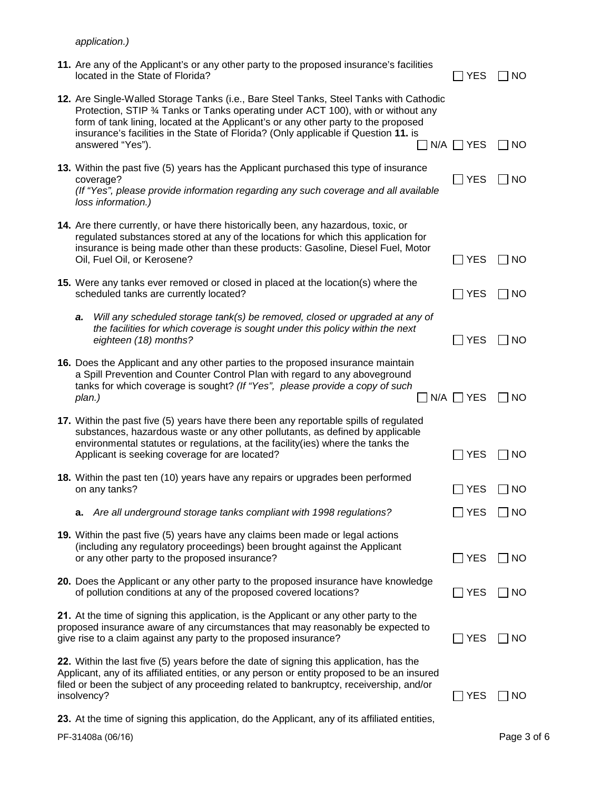*application.)* 

| 11. Are any of the Applicant's or any other party to the proposed insurance's facilities<br>located in the State of Florida?                                                                                                                                                                                                                                                 | YES              | NO.          |
|------------------------------------------------------------------------------------------------------------------------------------------------------------------------------------------------------------------------------------------------------------------------------------------------------------------------------------------------------------------------------|------------------|--------------|
| 12. Are Single-Walled Storage Tanks (i.e., Bare Steel Tanks, Steel Tanks with Cathodic<br>Protection, STIP 3⁄4 Tanks or Tanks operating under ACT 100), with or without any<br>form of tank lining, located at the Applicant's or any other party to the proposed<br>insurance's facilities in the State of Florida? (Only applicable if Question 11. is<br>answered "Yes"). | $N/A$ $\Box$ YES | NO           |
| 13. Within the past five (5) years has the Applicant purchased this type of insurance<br>coverage?<br>(If "Yes", please provide information regarding any such coverage and all available<br>loss information.)                                                                                                                                                              | $\Box$ YES       | NO           |
| 14. Are there currently, or have there historically been, any hazardous, toxic, or<br>regulated substances stored at any of the locations for which this application for<br>insurance is being made other than these products: Gasoline, Diesel Fuel, Motor<br>Oil, Fuel Oil, or Kerosene?                                                                                   | ∏ YES            | <b>NO</b>    |
| 15. Were any tanks ever removed or closed in placed at the location(s) where the<br>scheduled tanks are currently located?                                                                                                                                                                                                                                                   | $\Box$ YES       | <b>NO</b>    |
| Will any scheduled storage tank(s) be removed, closed or upgraded at any of<br>a.<br>the facilities for which coverage is sought under this policy within the next<br>eighteen (18) months?                                                                                                                                                                                  | ∣YES             | NO           |
| 16. Does the Applicant and any other parties to the proposed insurance maintain<br>a Spill Prevention and Counter Control Plan with regard to any aboveground<br>tanks for which coverage is sought? (If "Yes", please provide a copy of such<br>plan.)                                                                                                                      | $N/A \Box YES$   | NO.          |
| 17. Within the past five (5) years have there been any reportable spills of regulated<br>substances, hazardous waste or any other pollutants, as defined by applicable<br>environmental statutes or regulations, at the facility(ies) where the tanks the<br>Applicant is seeking coverage for are located?                                                                  | ∣YES             | NO           |
| 18. Within the past ten (10) years have any repairs or upgrades been performed<br>on any tanks?                                                                                                                                                                                                                                                                              | <b>YES</b>       | NO           |
| a. Are all underground storage tanks compliant with 1998 regulations?                                                                                                                                                                                                                                                                                                        | $\Box$ YES       | $\exists$ NO |
| 19. Within the past five (5) years have any claims been made or legal actions<br>(including any regulatory proceedings) been brought against the Applicant<br>or any other party to the proposed insurance?                                                                                                                                                                  | ∃YES             | NO           |
| 20. Does the Applicant or any other party to the proposed insurance have knowledge<br>of pollution conditions at any of the proposed covered locations?                                                                                                                                                                                                                      | $\Box$ YES       | NO           |
| 21. At the time of signing this application, is the Applicant or any other party to the<br>proposed insurance aware of any circumstances that may reasonably be expected to<br>give rise to a claim against any party to the proposed insurance?                                                                                                                             | $\sqsupset$ YES  | NO           |
| 22. Within the last five (5) years before the date of signing this application, has the<br>Applicant, any of its affiliated entities, or any person or entity proposed to be an insured<br>filed or been the subject of any proceeding related to bankruptcy, receivership, and/or<br>insolvency?                                                                            | YES              | NO           |

**23.** At the time of signing this application, do the Applicant, any of its affiliated entities,

PF-31408a (06/16)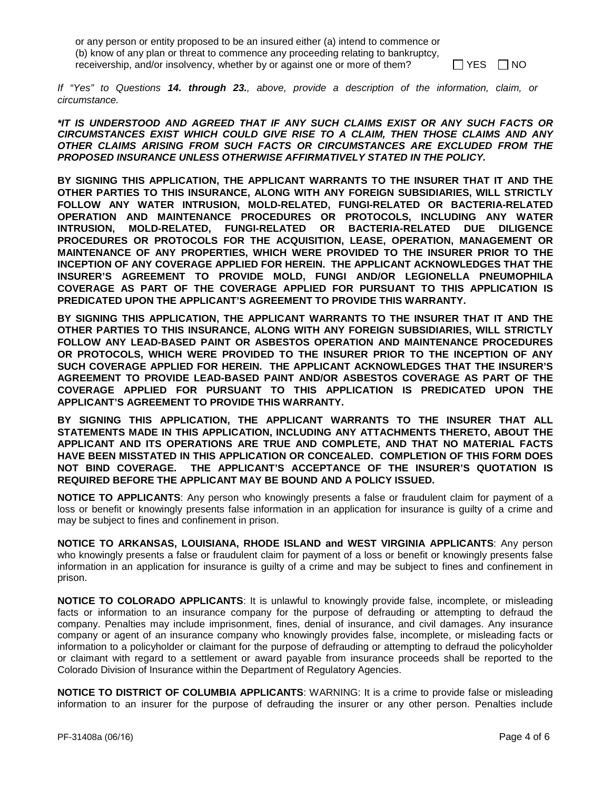or any person or entity proposed to be an insured either (a) intend to commence or (b) know of any plan or threat to commence any proceeding relating to bankruptcy, receivership, and/or insolvency, whether by or against one or more of them?  $\Box$  YES  $\Box$  NO

*If "Yes" to Questions 14. through 23., above, provide a description of the information, claim, or circumstance.* 

*\*IT IS UNDERSTOOD AND AGREED THAT IF ANY SUCH CLAIMS EXIST OR ANY SUCH FACTS OR CIRCUMSTANCES EXIST WHICH COULD GIVE RISE TO A CLAIM, THEN THOSE CLAIMS AND ANY OTHER CLAIMS ARISING FROM SUCH FACTS OR CIRCUMSTANCES ARE EXCLUDED FROM THE PROPOSED INSURANCE UNLESS OTHERWISE AFFIRMATIVELY STATED IN THE POLICY.*

**BY SIGNING THIS APPLICATION, THE APPLICANT WARRANTS TO THE INSURER THAT IT AND THE OTHER PARTIES TO THIS INSURANCE, ALONG WITH ANY FOREIGN SUBSIDIARIES, WILL STRICTLY FOLLOW ANY WATER INTRUSION, MOLD-RELATED, FUNGI-RELATED OR BACTERIA-RELATED OPERATION AND MAINTENANCE PROCEDURES OR PROTOCOLS, INCLUDING ANY WATER INTRUSION, MOLD-RELATED, FUNGI-RELATED OR BACTERIA-RELATED DUE DILIGENCE PROCEDURES OR PROTOCOLS FOR THE ACQUISITION, LEASE, OPERATION, MANAGEMENT OR MAINTENANCE OF ANY PROPERTIES, WHICH WERE PROVIDED TO THE INSURER PRIOR TO THE INCEPTION OF ANY COVERAGE APPLIED FOR HEREIN. THE APPLICANT ACKNOWLEDGES THAT THE INSURER'S AGREEMENT TO PROVIDE MOLD, FUNGI AND/OR LEGIONELLA PNEUMOPHILA COVERAGE AS PART OF THE COVERAGE APPLIED FOR PURSUANT TO THIS APPLICATION IS PREDICATED UPON THE APPLICANT'S AGREEMENT TO PROVIDE THIS WARRANTY.**

**BY SIGNING THIS APPLICATION, THE APPLICANT WARRANTS TO THE INSURER THAT IT AND THE OTHER PARTIES TO THIS INSURANCE, ALONG WITH ANY FOREIGN SUBSIDIARIES, WILL STRICTLY FOLLOW ANY LEAD-BASED PAINT OR ASBESTOS OPERATION AND MAINTENANCE PROCEDURES OR PROTOCOLS, WHICH WERE PROVIDED TO THE INSURER PRIOR TO THE INCEPTION OF ANY SUCH COVERAGE APPLIED FOR HEREIN. THE APPLICANT ACKNOWLEDGES THAT THE INSURER'S AGREEMENT TO PROVIDE LEAD-BASED PAINT AND/OR ASBESTOS COVERAGE AS PART OF THE COVERAGE APPLIED FOR PURSUANT TO THIS APPLICATION IS PREDICATED UPON THE APPLICANT'S AGREEMENT TO PROVIDE THIS WARRANTY.**

**BY SIGNING THIS APPLICATION, THE APPLICANT WARRANTS TO THE INSURER THAT ALL STATEMENTS MADE IN THIS APPLICATION, INCLUDING ANY ATTACHMENTS THERETO, ABOUT THE APPLICANT AND ITS OPERATIONS ARE TRUE AND COMPLETE, AND THAT NO MATERIAL FACTS HAVE BEEN MISSTATED IN THIS APPLICATION OR CONCEALED. COMPLETION OF THIS FORM DOES NOT BIND COVERAGE. THE APPLICANT'S ACCEPTANCE OF THE INSURER'S QUOTATION IS REQUIRED BEFORE THE APPLICANT MAY BE BOUND AND A POLICY ISSUED.**

**NOTICE TO APPLICANTS**: Any person who knowingly presents a false or fraudulent claim for payment of a loss or benefit or knowingly presents false information in an application for insurance is guilty of a crime and may be subject to fines and confinement in prison.

**NOTICE TO ARKANSAS, LOUISIANA, RHODE ISLAND and WEST VIRGINIA APPLICANTS**: Any person who knowingly presents a false or fraudulent claim for payment of a loss or benefit or knowingly presents false information in an application for insurance is guilty of a crime and may be subject to fines and confinement in prison.

**NOTICE TO COLORADO APPLICANTS**: It is unlawful to knowingly provide false, incomplete, or misleading facts or information to an insurance company for the purpose of defrauding or attempting to defraud the company. Penalties may include imprisonment, fines, denial of insurance, and civil damages. Any insurance company or agent of an insurance company who knowingly provides false, incomplete, or misleading facts or information to a policyholder or claimant for the purpose of defrauding or attempting to defraud the policyholder or claimant with regard to a settlement or award payable from insurance proceeds shall be reported to the Colorado Division of Insurance within the Department of Regulatory Agencies.

**NOTICE TO DISTRICT OF COLUMBIA APPLICANTS**: WARNING: It is a crime to provide false or misleading information to an insurer for the purpose of defrauding the insurer or any other person. Penalties include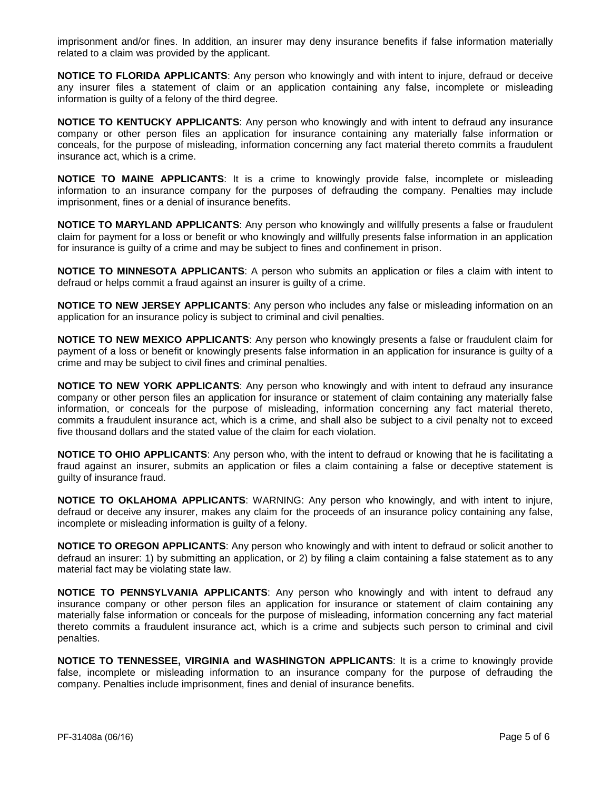imprisonment and/or fines. In addition, an insurer may deny insurance benefits if false information materially related to a claim was provided by the applicant.

**NOTICE TO FLORIDA APPLICANTS**: Any person who knowingly and with intent to injure, defraud or deceive any insurer files a statement of claim or an application containing any false, incomplete or misleading information is guilty of a felony of the third degree.

**NOTICE TO KENTUCKY APPLICANTS**: Any person who knowingly and with intent to defraud any insurance company or other person files an application for insurance containing any materially false information or conceals, for the purpose of misleading, information concerning any fact material thereto commits a fraudulent insurance act, which is a crime.

**NOTICE TO MAINE APPLICANTS**: It is a crime to knowingly provide false, incomplete or misleading information to an insurance company for the purposes of defrauding the company. Penalties may include imprisonment, fines or a denial of insurance benefits.

**NOTICE TO MARYLAND APPLICANTS**: Any person who knowingly and willfully presents a false or fraudulent claim for payment for a loss or benefit or who knowingly and willfully presents false information in an application for insurance is guilty of a crime and may be subject to fines and confinement in prison.

**NOTICE TO MINNESOTA APPLICANTS:** A person who submits an application or files a claim with intent to defraud or helps commit a fraud against an insurer is guilty of a crime.

**NOTICE TO NEW JERSEY APPLICANTS**: Any person who includes any false or misleading information on an application for an insurance policy is subject to criminal and civil penalties.

**NOTICE TO NEW MEXICO APPLICANTS**: Any person who knowingly presents a false or fraudulent claim for payment of a loss or benefit or knowingly presents false information in an application for insurance is guilty of a crime and may be subject to civil fines and criminal penalties.

**NOTICE TO NEW YORK APPLICANTS**: Any person who knowingly and with intent to defraud any insurance company or other person files an application for insurance or statement of claim containing any materially false information, or conceals for the purpose of misleading, information concerning any fact material thereto, commits a fraudulent insurance act, which is a crime, and shall also be subject to a civil penalty not to exceed five thousand dollars and the stated value of the claim for each violation.

**NOTICE TO OHIO APPLICANTS**: Any person who, with the intent to defraud or knowing that he is facilitating a fraud against an insurer, submits an application or files a claim containing a false or deceptive statement is guilty of insurance fraud.

**NOTICE TO OKLAHOMA APPLICANTS**: WARNING: Any person who knowingly, and with intent to injure, defraud or deceive any insurer, makes any claim for the proceeds of an insurance policy containing any false, incomplete or misleading information is guilty of a felony.

**NOTICE TO OREGON APPLICANTS**: Any person who knowingly and with intent to defraud or solicit another to defraud an insurer: 1) by submitting an application, or 2) by filing a claim containing a false statement as to any material fact may be violating state law.

**NOTICE TO PENNSYLVANIA APPLICANTS**: Any person who knowingly and with intent to defraud any insurance company or other person files an application for insurance or statement of claim containing any materially false information or conceals for the purpose of misleading, information concerning any fact material thereto commits a fraudulent insurance act, which is a crime and subjects such person to criminal and civil penalties.

**NOTICE TO TENNESSEE, VIRGINIA and WASHINGTON APPLICANTS**: It is a crime to knowingly provide false, incomplete or misleading information to an insurance company for the purpose of defrauding the company. Penalties include imprisonment, fines and denial of insurance benefits.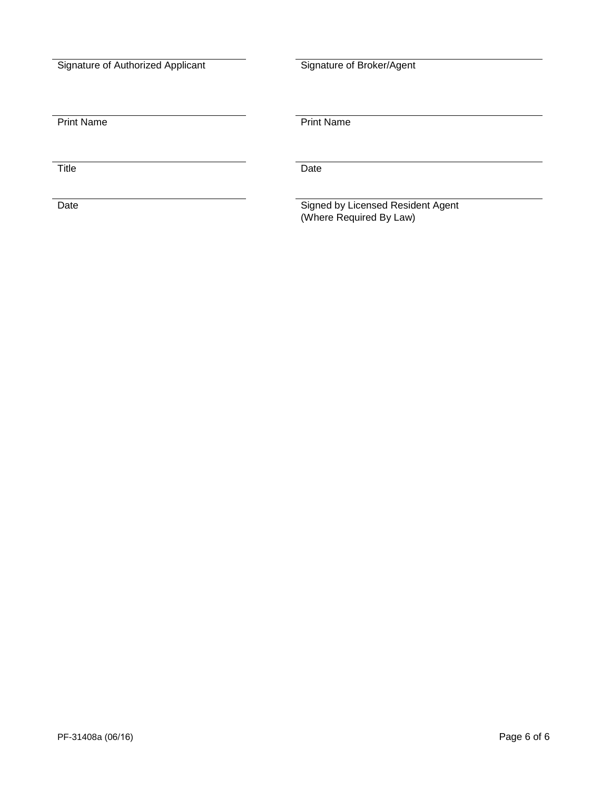| Signature of Authorized Applicant |
|-----------------------------------|

Signature of Broker/Agent

**Print Name** 

Title Date

Date  $\hbox{\tt Signed}$  by Licensed Resident Agent (Where Required By Law)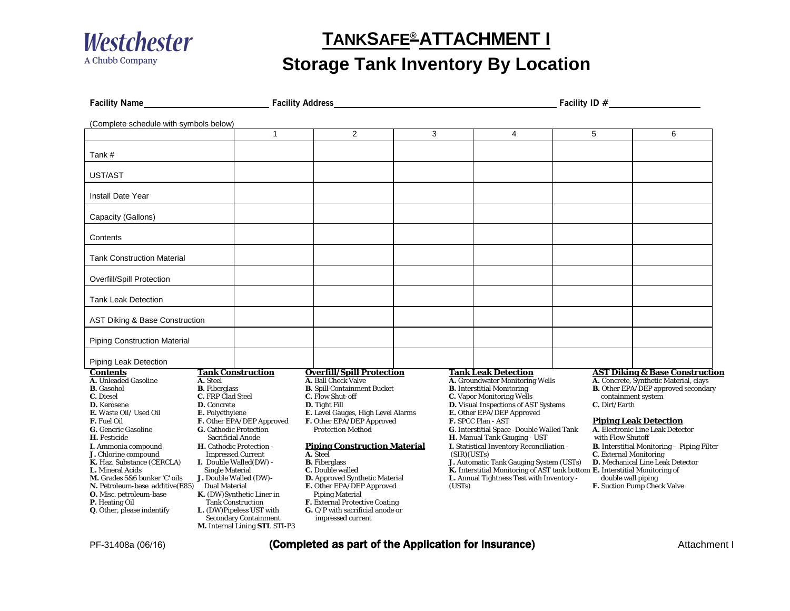

### **TANKSAFE® ATTACHMENT I**

## **Storage Tank Inventory By Location**

| <b>Facility Name</b>                                                                                                                                                                                                                                                                                                                                                                                                                                         |                                                                                                                                                                                                                                                                                                                                                                                                                                                                                                                                                                                                                                                                                                                                                                                                                                                                                                                                                                                                                                                                          | <b>Facility Address</b> |   |                                                                                                                                                                                                                                                                                                                                                                                                                                                                                                                                                                     |                                                                                                                                                                                                                                                                                                                                                                                                                                                  | Facility ID $#$ |  |  |
|--------------------------------------------------------------------------------------------------------------------------------------------------------------------------------------------------------------------------------------------------------------------------------------------------------------------------------------------------------------------------------------------------------------------------------------------------------------|--------------------------------------------------------------------------------------------------------------------------------------------------------------------------------------------------------------------------------------------------------------------------------------------------------------------------------------------------------------------------------------------------------------------------------------------------------------------------------------------------------------------------------------------------------------------------------------------------------------------------------------------------------------------------------------------------------------------------------------------------------------------------------------------------------------------------------------------------------------------------------------------------------------------------------------------------------------------------------------------------------------------------------------------------------------------------|-------------------------|---|---------------------------------------------------------------------------------------------------------------------------------------------------------------------------------------------------------------------------------------------------------------------------------------------------------------------------------------------------------------------------------------------------------------------------------------------------------------------------------------------------------------------------------------------------------------------|--------------------------------------------------------------------------------------------------------------------------------------------------------------------------------------------------------------------------------------------------------------------------------------------------------------------------------------------------------------------------------------------------------------------------------------------------|-----------------|--|--|
| (Complete schedule with symbols below)                                                                                                                                                                                                                                                                                                                                                                                                                       |                                                                                                                                                                                                                                                                                                                                                                                                                                                                                                                                                                                                                                                                                                                                                                                                                                                                                                                                                                                                                                                                          |                         |   |                                                                                                                                                                                                                                                                                                                                                                                                                                                                                                                                                                     |                                                                                                                                                                                                                                                                                                                                                                                                                                                  |                 |  |  |
|                                                                                                                                                                                                                                                                                                                                                                                                                                                              | $\mathbf{1}$                                                                                                                                                                                                                                                                                                                                                                                                                                                                                                                                                                                                                                                                                                                                                                                                                                                                                                                                                                                                                                                             | 2                       | 3 | $\overline{4}$                                                                                                                                                                                                                                                                                                                                                                                                                                                                                                                                                      | 5                                                                                                                                                                                                                                                                                                                                                                                                                                                | 6               |  |  |
| Tank #                                                                                                                                                                                                                                                                                                                                                                                                                                                       |                                                                                                                                                                                                                                                                                                                                                                                                                                                                                                                                                                                                                                                                                                                                                                                                                                                                                                                                                                                                                                                                          |                         |   |                                                                                                                                                                                                                                                                                                                                                                                                                                                                                                                                                                     |                                                                                                                                                                                                                                                                                                                                                                                                                                                  |                 |  |  |
| UST/AST                                                                                                                                                                                                                                                                                                                                                                                                                                                      |                                                                                                                                                                                                                                                                                                                                                                                                                                                                                                                                                                                                                                                                                                                                                                                                                                                                                                                                                                                                                                                                          |                         |   |                                                                                                                                                                                                                                                                                                                                                                                                                                                                                                                                                                     |                                                                                                                                                                                                                                                                                                                                                                                                                                                  |                 |  |  |
| Install Date Year                                                                                                                                                                                                                                                                                                                                                                                                                                            |                                                                                                                                                                                                                                                                                                                                                                                                                                                                                                                                                                                                                                                                                                                                                                                                                                                                                                                                                                                                                                                                          |                         |   |                                                                                                                                                                                                                                                                                                                                                                                                                                                                                                                                                                     |                                                                                                                                                                                                                                                                                                                                                                                                                                                  |                 |  |  |
| Capacity (Gallons)                                                                                                                                                                                                                                                                                                                                                                                                                                           |                                                                                                                                                                                                                                                                                                                                                                                                                                                                                                                                                                                                                                                                                                                                                                                                                                                                                                                                                                                                                                                                          |                         |   |                                                                                                                                                                                                                                                                                                                                                                                                                                                                                                                                                                     |                                                                                                                                                                                                                                                                                                                                                                                                                                                  |                 |  |  |
| Contents                                                                                                                                                                                                                                                                                                                                                                                                                                                     |                                                                                                                                                                                                                                                                                                                                                                                                                                                                                                                                                                                                                                                                                                                                                                                                                                                                                                                                                                                                                                                                          |                         |   |                                                                                                                                                                                                                                                                                                                                                                                                                                                                                                                                                                     |                                                                                                                                                                                                                                                                                                                                                                                                                                                  |                 |  |  |
| <b>Tank Construction Material</b>                                                                                                                                                                                                                                                                                                                                                                                                                            |                                                                                                                                                                                                                                                                                                                                                                                                                                                                                                                                                                                                                                                                                                                                                                                                                                                                                                                                                                                                                                                                          |                         |   |                                                                                                                                                                                                                                                                                                                                                                                                                                                                                                                                                                     |                                                                                                                                                                                                                                                                                                                                                                                                                                                  |                 |  |  |
| <b>Overfill/Spill Protection</b>                                                                                                                                                                                                                                                                                                                                                                                                                             |                                                                                                                                                                                                                                                                                                                                                                                                                                                                                                                                                                                                                                                                                                                                                                                                                                                                                                                                                                                                                                                                          |                         |   |                                                                                                                                                                                                                                                                                                                                                                                                                                                                                                                                                                     |                                                                                                                                                                                                                                                                                                                                                                                                                                                  |                 |  |  |
| <b>Tank Leak Detection</b>                                                                                                                                                                                                                                                                                                                                                                                                                                   |                                                                                                                                                                                                                                                                                                                                                                                                                                                                                                                                                                                                                                                                                                                                                                                                                                                                                                                                                                                                                                                                          |                         |   |                                                                                                                                                                                                                                                                                                                                                                                                                                                                                                                                                                     |                                                                                                                                                                                                                                                                                                                                                                                                                                                  |                 |  |  |
| AST Diking & Base Construction                                                                                                                                                                                                                                                                                                                                                                                                                               |                                                                                                                                                                                                                                                                                                                                                                                                                                                                                                                                                                                                                                                                                                                                                                                                                                                                                                                                                                                                                                                                          |                         |   |                                                                                                                                                                                                                                                                                                                                                                                                                                                                                                                                                                     |                                                                                                                                                                                                                                                                                                                                                                                                                                                  |                 |  |  |
| <b>Piping Construction Material</b>                                                                                                                                                                                                                                                                                                                                                                                                                          |                                                                                                                                                                                                                                                                                                                                                                                                                                                                                                                                                                                                                                                                                                                                                                                                                                                                                                                                                                                                                                                                          |                         |   |                                                                                                                                                                                                                                                                                                                                                                                                                                                                                                                                                                     |                                                                                                                                                                                                                                                                                                                                                                                                                                                  |                 |  |  |
| Piping Leak Detection                                                                                                                                                                                                                                                                                                                                                                                                                                        |                                                                                                                                                                                                                                                                                                                                                                                                                                                                                                                                                                                                                                                                                                                                                                                                                                                                                                                                                                                                                                                                          |                         |   |                                                                                                                                                                                                                                                                                                                                                                                                                                                                                                                                                                     |                                                                                                                                                                                                                                                                                                                                                                                                                                                  |                 |  |  |
| <b>Contents</b><br><b>A.</b> Unleaded Gasoline<br><b>B.</b> Gasohol<br>C. Diesel<br><b>D.</b> Kerosene<br>E. Waste Oil/ Used Oil<br><b>F.</b> Fuel Oil<br>G. Generic Gasoline<br>H. Pesticide<br>I. Ammonia compound<br>J. Chlorine compound<br>K. Haz. Substance (CERCLA)<br>L. Mineral Acids<br>M. Grades 5&6 bunker 'C' oils<br>N. Petroleum-base additive(E85)<br>O. Misc. petroleum-base<br><b>P.</b> Heating Oil<br><b>Q</b> . Other, please indentify | <b>Overfill/Spill Protection</b><br><b>Tank Construction</b><br>A. Ball Check Valve<br>A. Steel<br><b>B.</b> Fiberglass<br><b>B.</b> Spill Containment Bucket<br><b>C.</b> FRP Clad Steel<br>C. Flow Shut-off<br>D. Tight Fill<br><b>D.</b> Concrete<br>E. Level Gauges, High Level Alarms<br>E. Polyethylene<br>F. Other EPA/DEP Approved<br>F. Other EPA/DEP Approved<br><b>G.</b> Cathodic Protection<br><b>Protection Method</b><br><b>Sacrificial Anode</b><br><b>Piping Construction Material</b><br>H. Cathodic Protection -<br>A. Steel<br><b>Impressed Current</b><br>I. Double Walled(DW) -<br><b>B.</b> Fiberglass<br><b>Single Material</b><br>C. Double walled<br>J. Double Walled (DW)-<br>D. Approved Synthetic Material<br>E. Other EPA/DEP Approved<br><b>Dual Material</b><br>K. (DW)Synthetic Liner in<br><b>Piping Material</b><br>F. External Protective Coating<br><b>Tank Construction</b><br>L. (DW)Pipeless UST with<br>G. C/P with sacrificial anode or<br><b>Secondary Containment</b><br>impressed current<br>M. Internal Lining STI. STI-P3 |                         |   | <b>Tank Leak Detection</b><br>A. Groundwater Monitoring Wells<br><b>B.</b> Interstitial Monitoring<br><b>C.</b> Vapor Monitoring Wells<br><b>D.</b> Visual Inspections of AST Systems<br>E. Other EPA/DEP Approved<br>F. SPCC Plan - AST<br>G. Interstitial Space - Double Walled Tank<br>H. Manual Tank Gauging - UST<br>I. Statistical Inventory Reconciliation -<br>(SIR)(USTs)<br>J. Automatic Tank Gauging System (USTs)<br>K. Interstitial Monitoring of AST tank bottom E. Interstitial Monitoring of<br>L. Annual Tightness Test with Inventory -<br>(USTs) | <b>AST Diking &amp; Base Construction</b><br>A. Concrete, Synthetic Material, clays<br><b>B.</b> Other EPA/DEP approved secondary<br>containment system<br>C. Dirt/Earth<br><b>Piping Leak Detection</b><br>A. Electronic Line Leak Detector<br>with Flow Shutoff<br><b>B.</b> Interstitial Monitoring - Piping Filter<br><b>C.</b> External Monitoring<br>D. Mechanical Line Leak Detector<br>double wall piping<br>F. Suction Pump Check Valve |                 |  |  |

PF-31408a (06/16) **Completed as part of the Application for Insurance** (*Completed as part of the Application for Insurance*)